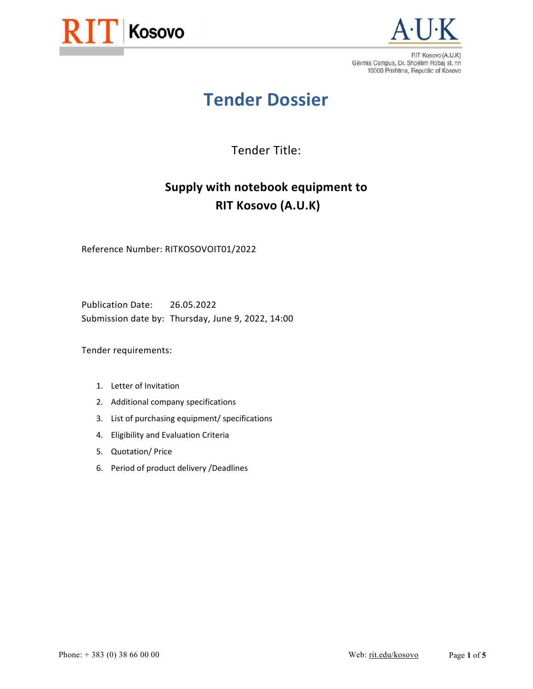



# **Tender Dossier**

Tender Title:

# **Supply with notebook equipment to RIT Kosovo (A.U.K)**

Reference Number: RITKOSOVOIT01/2022

Publication Date: 26.05.2022 Submission date by: Thursday, June 9, 2022, 14:00

Tender requirements:

- 1. Letter of Invitation
- 2. Additional company specifications
- 3. List of purchasing equipment/ specifications
- 4. Eligibility and Evaluation Criteria
- 5. Quotation/ Price
- 6. Period of product delivery /Deadlines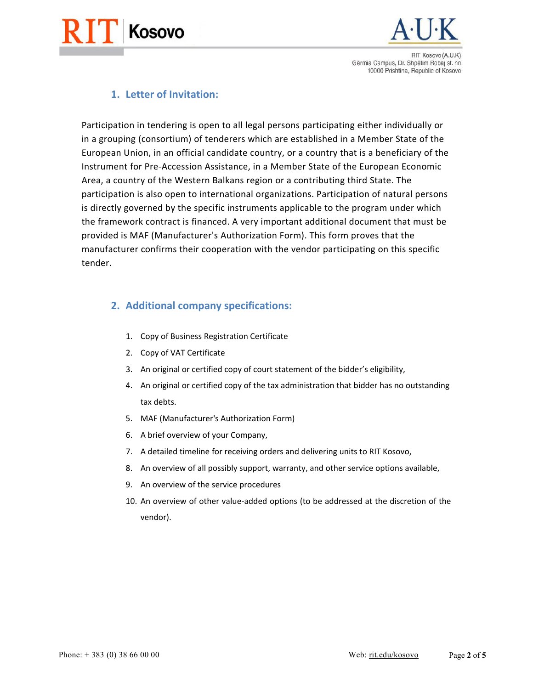



### **1. Letter of Invitation:**

Participation in tendering is open to all legal persons participating either individually or in a grouping (consortium) of tenderers which are established in a Member State of the European Union, in an official candidate country, or a country that is a beneficiary of the Instrument for Pre‐Accession Assistance, in a Member State of the European Economic Area, a country of the Western Balkans region or a contributing third State. The participation is also open to international organizations. Participation of natural persons is directly governed by the specific instruments applicable to the program under which the framework contract is financed. A very important additional document that must be provided is MAF (Manufacturer's Authorization Form). This form proves that the manufacturer confirms their cooperation with the vendor participating on this specific tender.

#### **2. Additional company specifications:**

- 1. Copy of Business Registration Certificate
- 2. Copy of VAT Certificate
- 3. An original or certified copy of court statement of the bidder's eligibility,
- 4. An original or certified copy of the tax administration that bidder has no outstanding tax debts.
- 5. MAF (Manufacturer's Authorization Form)
- 6. A brief overview of your Company,
- 7. A detailed timeline for receiving orders and delivering units to RIT Kosovo,
- 8. An overview of all possibly support, warranty, and other service options available,
- 9. An overview of the service procedures
- 10. An overview of other value‐added options (to be addressed at the discretion of the vendor).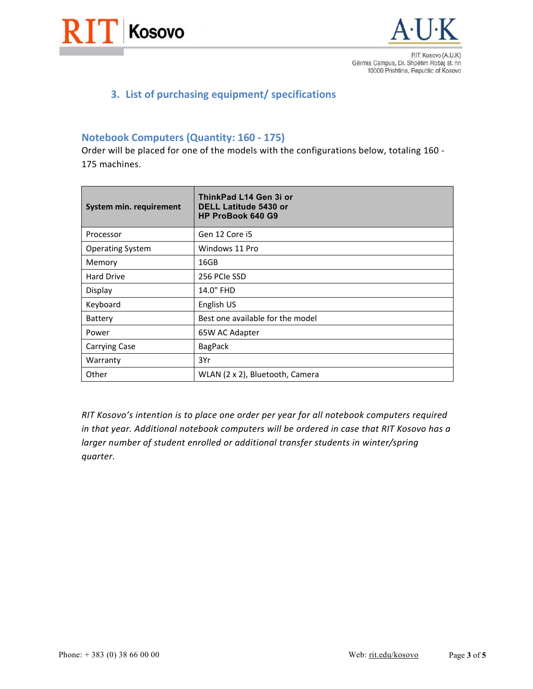



# **3. List of purchasing equipment/ specifications**

#### **Notebook Computers (Quantity: 160 ‐ 175)**

Order will be placed for one of the models with the configurations below, totaling 160 ‐ 175 machines.

| System min. requirement | ThinkPad L14 Gen 3i or<br><b>DELL Latitude 5430 or</b><br><b>HP ProBook 640 G9</b> |
|-------------------------|------------------------------------------------------------------------------------|
| Processor               | Gen 12 Core i5                                                                     |
| <b>Operating System</b> | Windows 11 Pro                                                                     |
| Memory                  | 16GB                                                                               |
| <b>Hard Drive</b>       | 256 PCIe SSD                                                                       |
| Display                 | 14.0" FHD                                                                          |
| Keyboard                | English US                                                                         |
| Battery                 | Best one available for the model                                                   |
| Power                   | 65W AC Adapter                                                                     |
| <b>Carrying Case</b>    | <b>BagPack</b>                                                                     |
| Warranty                | 3Yr                                                                                |
| Other                   | WLAN (2 x 2), Bluetooth, Camera                                                    |

*RIT Kosovo's intention is to place one order per year for all notebook computers required in that year. Additional notebook computers will be ordered in case that RIT Kosovo has a larger number of student enrolled or additional transfer students in winter/spring quarter.*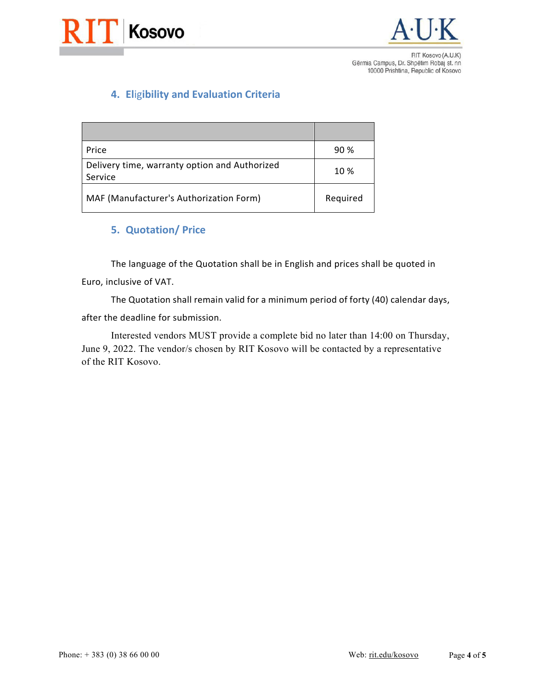



# **4. El**ig**ibility and Evaluation Criteria**

| Price                                                    | 90 %     |
|----------------------------------------------------------|----------|
| Delivery time, warranty option and Authorized<br>Service | 10 %     |
| MAF (Manufacturer's Authorization Form)                  | Required |

#### **5. Quotation/ Price**

The language of the Quotation shall be in English and prices shall be quoted in Euro, inclusive of VAT.

The Quotation shall remain valid for a minimum period of forty (40) calendar days, after the deadline for submission.

Interested vendors MUST provide a complete bid no later than 14:00 on Thursday, June 9, 2022. The vendor/s chosen by RIT Kosovo will be contacted by a representative of the RIT Kosovo.